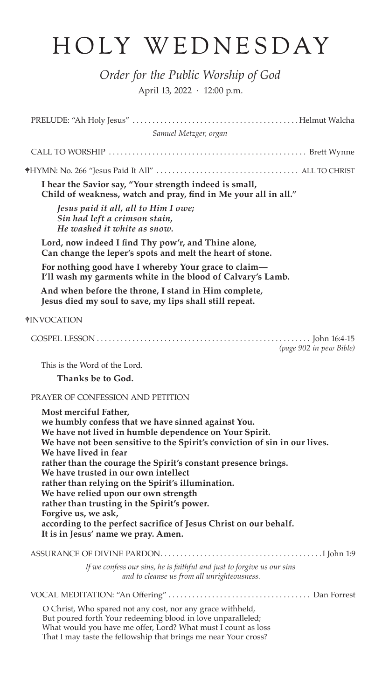## HOLY WEDNESDAY

*Order for the Public Worship of God* April 13, 2022 · 12:00 p.m.

PRELUDE: "Ah Holy Jesus". . Helmut Walcha *Samuel Metzger, organ* CALL TO WORSHIP. . . Brett Wynne WHYMN: No. 266 "Jesus Paid It All". . . ALL TO CHRIST **I hear the Savior say, "Your strength indeed is small, Child of weakness, watch and pray, find in Me your all in all."** *Jesus paid it all, all to Him I owe; Sin had left a crimson stain, He washed it white as snow.* **Lord, now indeed I find Thy pow'r, and Thine alone, Can change the leper's spots and melt the heart of stone. For nothing good have I whereby Your grace to claim— I'll wash my garments white in the blood of Calvary's Lamb. And when before the throne, I stand in Him complete, Jesus died my soul to save, my lips shall still repeat.** WINVOCATION GOSPEL LESSON. . . John 16:4-15 *(page 902 in pew Bible)* This is the Word of the Lord. **Thanks be to God.** PRAYER OF CONFESSION AND PETITION **Most merciful Father, we humbly confess that we have sinned against You. We have not lived in humble dependence on Your Spirit. We have not been sensitive to the Spirit's conviction of sin in our lives. We have lived in fear rather than the courage the Spirit's constant presence brings. We have trusted in our own intellect rather than relying on the Spirit's illumination. We have relied upon our own strength rather than trusting in the Spirit's power. Forgive us, we ask, according to the perfect sacrifice of Jesus Christ on our behalf. It is in Jesus' name we pray. Amen.** ASSURANCE OF DIVINE PARDON. . I John 1:9 *If we confess our sins, he is faithful and just to forgive us our sins and to cleanse us from all unrighteousness.*  VOCAL MEDITATION: "An Offering". . Dan Forrest O Christ, Who spared not any cost, nor any grace withheld, But poured forth Your redeeming blood in love unparalleled; What would you have me offer, Lord? What must I count as loss

That I may taste the fellowship that brings me near Your cross?